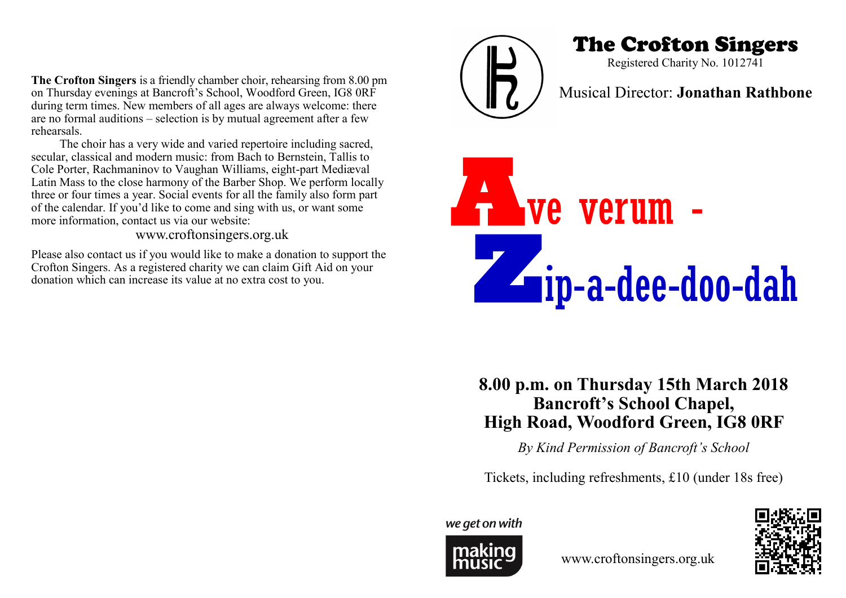**The Crofton Singers** is a friendly chamber choir, rehearsing from 8.00 pm on Thursday evenings at Bancroft's School, Woodford Green, IG8 0RF during term times. New members of all ages are always welcome: there are no formal auditions – selection is by mutual agreement after a few rehearsals.

The choir has a very wide and varied repertoire including sacred, secular, classical and modern music: from Bach to Bernstein, Tallis to Cole Porter, Rachmaninov to Vaughan Williams, eight-part Mediæval Latin Mass to the close harmony of the Barber Shop. We perform locally three or four times a year. Social events for all the family also form part of the calendar. If you'd like to come and sing with us, or want some more information, contact us via our website:

www.croftonsingers.org.uk

Please also contact us if you would like to make a donation to support the Crofton Singers. As a registered charity we can claim Gift Aid on your donation which can increase its value at no extra cost to you.



# The Crofton Singers

Registered Charity No. 1012741

## Musical Director: **Jonathan Rathbone**



## **8.00 p.m. on Thursday 15th March 2018 Bancroft's School Chapel, High Road, Woodford Green, IG8 0RF**

*By Kind Permission of Bancroft's School*

Tickets, including refreshments, £10 (under 18s free)

we get on with